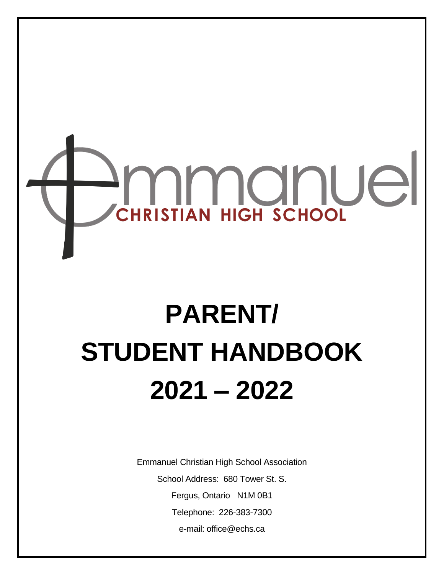

# **PARENT/ STUDENT HANDBOOK 2021 – 2022**

Emmanuel Christian High School Association School Address: 680 Tower St. S. Fergus, Ontario N1M 0B1 Telephone: 226-383-7300 e-mail: office@echs.ca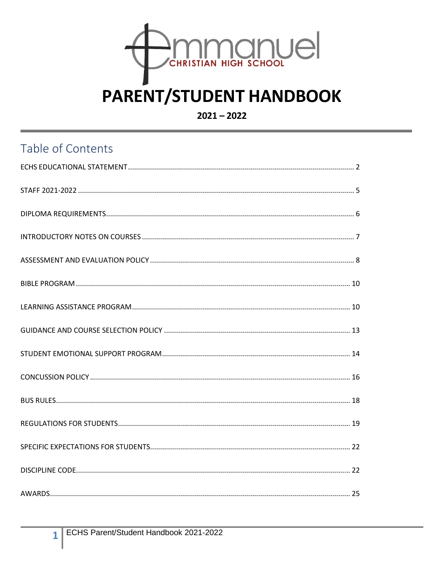

## **PARENT/STUDENT HANDBOOK**

 $2021 - 2022$ 

## Table of Contents

 $\mathbf{1}$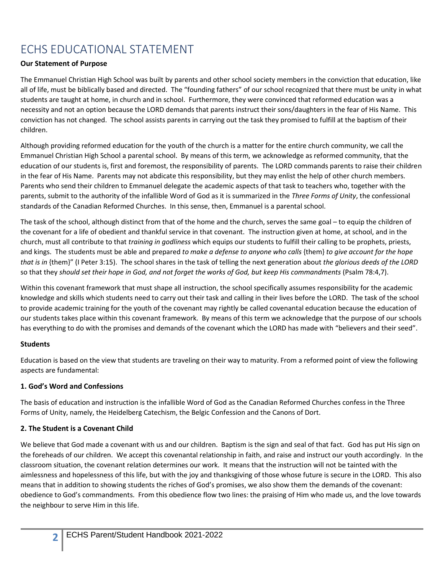## <span id="page-2-0"></span>ECHS EDUCATIONAL STATEMENT

#### **Our Statement of Purpose**

The Emmanuel Christian High School was built by parents and other school society members in the conviction that education, like all of life, must be biblically based and directed. The "founding fathers" of our school recognized that there must be unity in what students are taught at home, in church and in school. Furthermore, they were convinced that reformed education was a necessity and not an option because the LORD demands that parents instruct their sons/daughters in the fear of His Name. This conviction has not changed. The school assists parents in carrying out the task they promised to fulfill at the baptism of their children.

Although providing reformed education for the youth of the church is a matter for the entire church community, we call the Emmanuel Christian High School a parental school. By means of this term, we acknowledge as reformed community, that the education of our students is, first and foremost, the responsibility of parents. The LORD commands parents to raise their children in the fear of His Name. Parents may not abdicate this responsibility, but they may enlist the help of other church members. Parents who send their children to Emmanuel delegate the academic aspects of that task to teachers who, together with the parents, submit to the authority of the infallible Word of God as it is summarized in the *Three Forms of Unity*, the confessional standards of the Canadian Reformed Churches. In this sense, then, Emmanuel is a parental school.

The task of the school, although distinct from that of the home and the church, serves the same goal – to equip the children of the covenant for a life of obedient and thankful service in that covenant. The instruction given at home, at school, and in the church, must all contribute to that *training in godliness* which equips our students to fulfill their calling to be prophets, priests, and kings. The students must be able and prepared *to make a defense to anyone who calls* {them} *to give account for the hope that is in* {them}" (I Peter 3:15). The school shares in the task of telling the next generation about *the glorious deeds of the LORD*  so that they *should set their hope in God, and not forget the works of God, but keep His commandments (Psalm 78:4,7)*.

Within this covenant framework that must shape all instruction, the school specifically assumes responsibility for the academic knowledge and skills which students need to carry out their task and calling in their lives before the LORD. The task of the school to provide academic training for the youth of the covenant may rightly be called covenantal education because the education of our students takes place within this covenant framework. By means of this term we acknowledge that the purpose of our schools has everything to do with the promises and demands of the covenant which the LORD has made with "believers and their seed".

#### **Students**

Education is based on the view that students are traveling on their way to maturity. From a reformed point of view the following aspects are fundamental:

#### **1. God's Word and Confessions**

The basis of education and instruction is the infallible Word of God as the Canadian Reformed Churches confess in the Three Forms of Unity, namely, the Heidelberg Catechism, the Belgic Confession and the Canons of Dort.

#### **2. The Student is a Covenant Child**

**2**

We believe that God made a covenant with us and our children. Baptism is the sign and seal of that fact. God has put His sign on the foreheads of our children. We accept this covenantal relationship in faith, and raise and instruct our youth accordingly. In the classroom situation, the covenant relation determines our work. It means that the instruction will not be tainted with the aimlessness and hopelessness of this life, but with the joy and thanksgiving of those whose future is secure in the LORD. This also means that in addition to showing students the riches of God's promises, we also show them the demands of the covenant: obedience to God's commandments. From this obedience flow two lines: the praising of Him who made us, and the love towards the neighbour to serve Him in this life.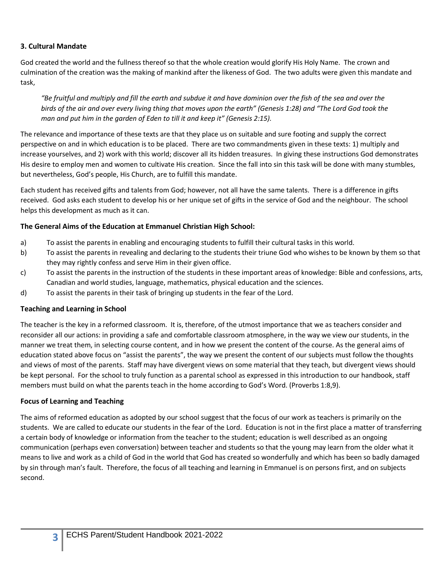#### **3. Cultural Mandate**

God created the world and the fullness thereof so that the whole creation would glorify His Holy Name. The crown and culmination of the creation was the making of mankind after the likeness of God. The two adults were given this mandate and task,

*"Be fruitful and multiply and fill the earth and subdue it and have dominion over the fish of the sea and over the birds of the air and over every living thing that moves upon the earth" (Genesis 1:28) and "The Lord God took the man and put him in the garden of Eden to till it and keep it" (Genesis 2:15).*

The relevance and importance of these texts are that they place us on suitable and sure footing and supply the correct perspective on and in which education is to be placed. There are two commandments given in these texts: 1) multiply and increase yourselves, and 2) work with this world; discover all its hidden treasures. In giving these instructions God demonstrates His desire to employ men and women to cultivate His creation. Since the fall into sin this task will be done with many stumbles, but nevertheless, God's people, His Church, are to fulfill this mandate.

Each student has received gifts and talents from God; however, not all have the same talents. There is a difference in gifts received. God asks each student to develop his or her unique set of gifts in the service of God and the neighbour. The school helps this development as much as it can.

#### **The General Aims of the Education at Emmanuel Christian High School:**

- a) To assist the parents in enabling and encouraging students to fulfill their cultural tasks in this world.
- b) To assist the parents in revealing and declaring to the students their triune God who wishes to be known by them so that they may rightly confess and serve Him in their given office.
- c) To assist the parents in the instruction of the students in these important areas of knowledge: Bible and confessions, arts, Canadian and world studies, language, mathematics, physical education and the sciences.
- d) To assist the parents in their task of bringing up students in the fear of the Lord.

#### **Teaching and Learning in School**

The teacher is the key in a reformed classroom. It is, therefore, of the utmost importance that we as teachers consider and reconsider all our actions: in providing a safe and comfortable classroom atmosphere, in the way we view our students, in the manner we treat them, in selecting course content, and in how we present the content of the course. As the general aims of education stated above focus on "assist the parents", the way we present the content of our subjects must follow the thoughts and views of most of the parents. Staff may have divergent views on some material that they teach, but divergent views should be kept personal. For the school to truly function as a parental school as expressed in this introduction to our handbook, staff members must build on what the parents teach in the home according to God's Word. (Proverbs 1:8,9).

#### **Focus of Learning and Teaching**

**3**

The aims of reformed education as adopted by our school suggest that the focus of our work as teachers is primarily on the students. We are called to educate our students in the fear of the Lord. Education is not in the first place a matter of transferring a certain body of knowledge or information from the teacher to the student; education is well described as an ongoing communication (perhaps even conversation) between teacher and students so that the young may learn from the older what it means to live and work as a child of God in the world that God has created so wonderfully and which has been so badly damaged by sin through man's fault. Therefore, the focus of all teaching and learning in Emmanuel is on persons first, and on subjects second.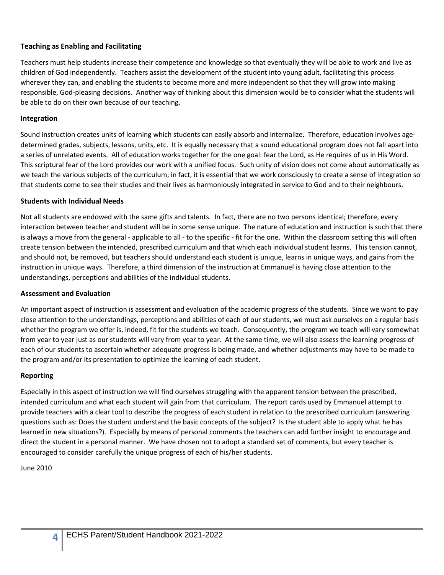#### **Teaching as Enabling and Facilitating**

Teachers must help students increase their competence and knowledge so that eventually they will be able to work and live as children of God independently. Teachers assist the development of the student into young adult, facilitating this process wherever they can, and enabling the students to become more and more independent so that they will grow into making responsible, God-pleasing decisions. Another way of thinking about this dimension would be to consider what the students will be able to do on their own because of our teaching.

#### **Integration**

Sound instruction creates units of learning which students can easily absorb and internalize. Therefore, education involves agedetermined grades, subjects, lessons, units, etc. It is equally necessary that a sound educational program does not fall apart into a series of unrelated events. All of education works together for the one goal: fear the Lord, as He requires of us in His Word. This scriptural fear of the Lord provides our work with a unified focus. Such unity of vision does not come about automatically as we teach the various subjects of the curriculum; in fact, it is essential that we work consciously to create a sense of integration so that students come to see their studies and their lives as harmoniously integrated in service to God and to their neighbours.

#### **Students with Individual Needs**

Not all students are endowed with the same gifts and talents. In fact, there are no two persons identical; therefore, every interaction between teacher and student will be in some sense unique. The nature of education and instruction is such that there is always a move from the general - applicable to all - to the specific - fit for the one. Within the classroom setting this will often create tension between the intended, prescribed curriculum and that which each individual student learns. This tension cannot, and should not, be removed, but teachers should understand each student is unique, learns in unique ways, and gains from the instruction in unique ways. Therefore, a third dimension of the instruction at Emmanuel is having close attention to the understandings, perceptions and abilities of the individual students.

#### **Assessment and Evaluation**

An important aspect of instruction is assessment and evaluation of the academic progress of the students. Since we want to pay close attention to the understandings, perceptions and abilities of each of our students, we must ask ourselves on a regular basis whether the program we offer is, indeed, fit for the students we teach. Consequently, the program we teach will vary somewhat from year to year just as our students will vary from year to year. At the same time, we will also assess the learning progress of each of our students to ascertain whether adequate progress is being made, and whether adjustments may have to be made to the program and/or its presentation to optimize the learning of each student.

#### **Reporting**

Especially in this aspect of instruction we will find ourselves struggling with the apparent tension between the prescribed, intended curriculum and what each student will gain from that curriculum. The report cards used by Emmanuel attempt to provide teachers with a clear tool to describe the progress of each student in relation to the prescribed curriculum (answering questions such as: Does the student understand the basic concepts of the subject? Is the student able to apply what he has learned in new situations?). Especially by means of personal comments the teachers can add further insight to encourage and direct the student in a personal manner. We have chosen not to adopt a standard set of comments, but every teacher is encouraged to consider carefully the unique progress of each of his/her students.

June 2010

**4**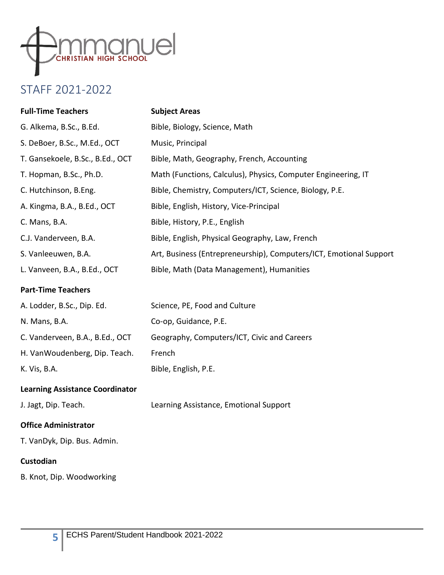

## <span id="page-5-0"></span>STAFF 2021-2022

| <b>Full-Time Teachers</b>              | <b>Subject Areas</b>                                               |
|----------------------------------------|--------------------------------------------------------------------|
| G. Alkema, B.Sc., B.Ed.                | Bible, Biology, Science, Math                                      |
| S. DeBoer, B.Sc., M.Ed., OCT           | Music, Principal                                                   |
| T. Gansekoele, B.Sc., B.Ed., OCT       | Bible, Math, Geography, French, Accounting                         |
| T. Hopman, B.Sc., Ph.D.                | Math (Functions, Calculus), Physics, Computer Engineering, IT      |
| C. Hutchinson, B.Eng.                  | Bible, Chemistry, Computers/ICT, Science, Biology, P.E.            |
| A. Kingma, B.A., B.Ed., OCT            | Bible, English, History, Vice-Principal                            |
| C. Mans, B.A.                          | Bible, History, P.E., English                                      |
| C.J. Vanderveen, B.A.                  | Bible, English, Physical Geography, Law, French                    |
| S. Vanleeuwen, B.A.                    | Art, Business (Entrepreneurship), Computers/ICT, Emotional Support |
| L. Vanveen, B.A., B.Ed., OCT           | Bible, Math (Data Management), Humanities                          |
| <b>Part-Time Teachers</b>              |                                                                    |
| A. Lodder, B.Sc., Dip. Ed.             | Science, PE, Food and Culture                                      |
| N. Mans, B.A.                          | Co-op, Guidance, P.E.                                              |
| C. Vanderveen, B.A., B.Ed., OCT        | Geography, Computers/ICT, Civic and Careers                        |
| H. VanWoudenberg, Dip. Teach.          | French                                                             |
| K. Vis, B.A.                           | Bible, English, P.E.                                               |
| <b>Learning Assistance Coordinator</b> |                                                                    |
| J. Jagt, Dip. Teach.                   | Learning Assistance, Emotional Support                             |
| <b>Office Administrator</b>            |                                                                    |
| T. VanDyk, Dip. Bus. Admin.            |                                                                    |
| Custodian                              |                                                                    |
| B. Knot, Dip. Woodworking              |                                                                    |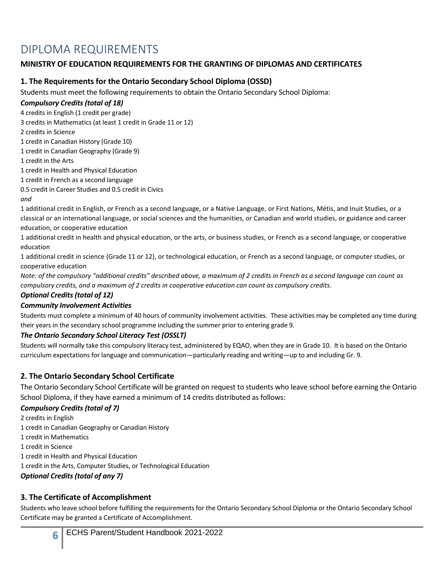## <span id="page-6-0"></span>DIPLOMA REQUIREMENTS

#### **MINISTRY OF EDUCATION REQUIREMENTS FOR THE GRANTING OF DIPLOMAS AND CERTIFICATES**

#### **1. The Requirements for the Ontario Secondary School Diploma (OSSD)**

Students must meet the following requirements to obtain the Ontario Secondary School Diploma:

#### *Compulsory Credits (total of 18)*

4 credits in English (1 credit per grade)

3 credits in Mathematics (at least 1 credit in Grade 11 or 12)

2 credits in Science

1 credit in Canadian History (Grade 10)

1 credit in Canadian Geography (Grade 9)

1 credit in the Arts

1 credit in Health and Physical Education

1 credit in French as a second language

0.5 credit in Career Studies and 0.5 credit in Civics

*and* 

1 additional credit in English, or French as a second language, or a Native Language, or First Nations, Métis, and Inuit Studies, or a classical or an international language, or social sciences and the humanities, or Canadian and world studies, or guidance and career education, or cooperative education

1 additional credit in health and physical education, or the arts, or business studies, or French as a second language, or cooperative education

1 additional credit in science (Grade 11 or 12), or technological education, or French as a second language, or computer studies, or cooperative education

*Note: of the compulsory "additional credits" described above, a maximum of 2 credits in French as a second language can count as compulsory credits, and a maximum of 2 credits in cooperative education can count as compulsory credits.*

#### *Optional Credits (total of 12)*

#### *Community Involvement Activities*

Students must complete a minimum of 40 hours of community involvement activities. These activities may be completed any time during their years in the secondary school programme including the summer prior to entering grade 9.

#### *The Ontario Secondary School Literacy Test (OSSLT)*

Students will normally take this compulsory literacy test, administered by EQAO, when they are in Grade 10. It is based on the Ontario curriculum expectations for language and communication—particularly reading and writing—up to and including Gr. 9.

#### **2. The Ontario Secondary School Certificate**

The Ontario Secondary School Certificate will be granted on request to students who leave school before earning the Ontario School Diploma, if they have earned a minimum of 14 credits distributed as follows:

#### *Compulsory Credits (total of 7)*

2 credits in English

1 credit in Canadian Geography or Canadian History

1 credit in Mathematics

**6**

1 credit in Science

1 credit in Health and Physical Education

1 credit in the Arts, Computer Studies, or Technological Education

#### *Optional Credits (total of any 7)*

#### **3. The Certificate of Accomplishment**

Students who leave school before fulfilling the requirements for the Ontario Secondary School Diploma or the Ontario Secondary School Certificate may be granted a Certificate of Accomplishment.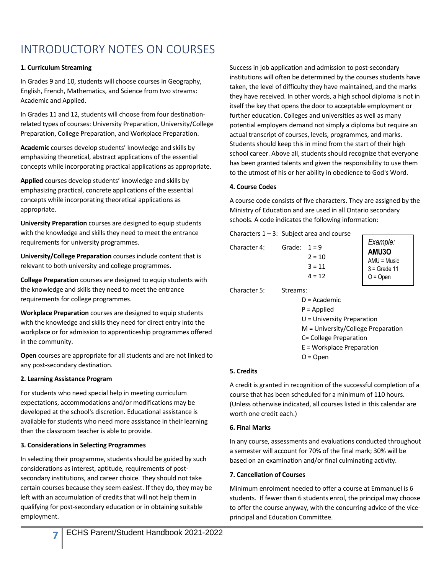## <span id="page-7-0"></span>INTRODUCTORY NOTES ON COURSES

#### **1. Curriculum Streaming**

In Grades 9 and 10, students will choose courses in Geography, English, French, Mathematics, and Science from two streams: Academic and Applied.

In Grades 11 and 12, students will choose from four destinationrelated types of courses: University Preparation, University/College Preparation, College Preparation, and Workplace Preparation.

**Academic** courses develop students' knowledge and skills by emphasizing theoretical, abstract applications of the essential concepts while incorporating practical applications as appropriate.

**Applied** courses develop students' knowledge and skills by emphasizing practical, concrete applications of the essential concepts while incorporating theoretical applications as appropriate.

**University Preparation** courses are designed to equip students with the knowledge and skills they need to meet the entrance requirements for university programmes.

**University/College Preparation** courses include content that is relevant to both university and college programmes.

**College Preparation** courses are designed to equip students with the knowledge and skills they need to meet the entrance requirements for college programmes.

**Workplace Preparation** courses are designed to equip students with the knowledge and skills they need for direct entry into the workplace or for admission to apprenticeship programmes offered in the community.

**Open** courses are appropriate for all students and are not linked to any post-secondary destination.

#### **2. Learning Assistance Program**

**7**

For students who need special help in meeting curriculum expectations, accommodations and/or modifications may be developed at the school's discretion. Educational assistance is available for students who need more assistance in their learning than the classroom teacher is able to provide.

#### **3. Considerations in Selecting Programmes**

In selecting their programme, students should be guided by such considerations as interest, aptitude, requirements of postsecondary institutions, and career choice. They should not take certain courses because they seem easiest. If they do, they may be left with an accumulation of credits that will not help them in qualifying for post-secondary education or in obtaining suitable employment.

Success in job application and admission to post-secondary institutions will often be determined by the courses students have taken, the level of difficulty they have maintained, and the marks they have received. In other words, a high school diploma is not in itself the key that opens the door to acceptable employment or further education. Colleges and universities as well as many potential employers demand not simply a diploma but require an actual transcript of courses, levels, programmes, and marks. Students should keep this in mind from the start of their high school career. Above all, students should recognize that everyone has been granted talents and given the responsibility to use them to the utmost of his or her ability in obedience to God's Word.

#### **4. Course Codes**

A course code consists of five characters. They are assigned by the Ministry of Education and are used in all Ontario secondary schools. A code indicates the following information:

| Characters $1 - 3$ : Subject area and course |                                                                                                                                                                            |                                             |                                                                           |  |
|----------------------------------------------|----------------------------------------------------------------------------------------------------------------------------------------------------------------------------|---------------------------------------------|---------------------------------------------------------------------------|--|
| Character 4:                                 | Grade:                                                                                                                                                                     | $1 = 9$<br>$2 = 10$<br>$3 = 11$<br>$4 = 12$ | Example:<br><b>AMU3O</b><br>$AMU = Music$<br>$3 =$ Grade 11<br>$O = Open$ |  |
| Character 5:                                 | Streams:<br>$D = Academic$<br>$P =$ Applied<br>$U =$ University Preparation<br>M = University/College Preparation<br>C= College Preparation<br>$E = Workplace$ Preparation |                                             |                                                                           |  |

 $O = Open$ 

#### **5. Credits**

A credit is granted in recognition of the successful completion of a course that has been scheduled for a minimum of 110 hours. (Unless otherwise indicated, all courses listed in this calendar are worth one credit each.)

#### **6. Final Marks**

In any course, assessments and evaluations conducted throughout a semester will account for 70% of the final mark; 30% will be based on an examination and/or final culminating activity.

#### **7. Cancellation of Courses**

Minimum enrolment needed to offer a course at Emmanuel is 6 students. If fewer than 6 students enrol, the principal may choose to offer the course anyway, with the concurring advice of the viceprincipal and Education Committee.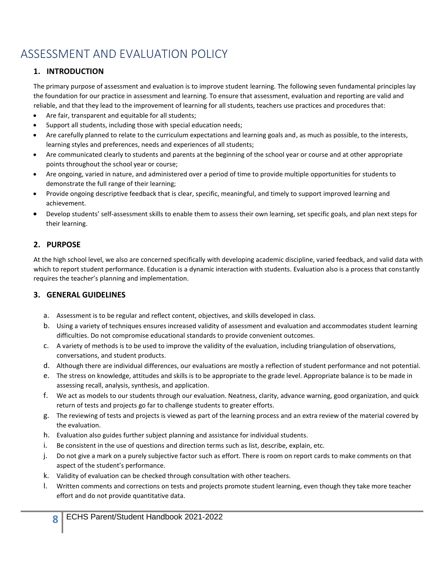## <span id="page-8-0"></span>ASSESSMENT AND EVALUATION POLICY

#### **1. INTRODUCTION**

The primary purpose of assessment and evaluation is to improve student learning. The following seven fundamental principles lay the foundation for our practice in assessment and learning. To ensure that assessment, evaluation and reporting are valid and reliable, and that they lead to the improvement of learning for all students, teachers use practices and procedures that:

- Are fair, transparent and equitable for all students;
- Support all students, including those with special education needs;
- Are carefully planned to relate to the curriculum expectations and learning goals and, as much as possible, to the interests, learning styles and preferences, needs and experiences of all students;
- Are communicated clearly to students and parents at the beginning of the school year or course and at other appropriate points throughout the school year or course;
- Are ongoing, varied in nature, and administered over a period of time to provide multiple opportunities for students to demonstrate the full range of their learning;
- Provide ongoing descriptive feedback that is clear, specific, meaningful, and timely to support improved learning and achievement.
- Develop students' self-assessment skills to enable them to assess their own learning, set specific goals, and plan next steps for their learning.

#### **2. PURPOSE**

**8**

At the high school level, we also are concerned specifically with developing academic discipline, varied feedback, and valid data with which to report student performance. Education is a dynamic interaction with students. Evaluation also is a process that constantly requires the teacher's planning and implementation.

#### **3. GENERAL GUIDELINES**

- a. Assessment is to be regular and reflect content, objectives, and skills developed in class.
- b. Using a variety of techniques ensures increased validity of assessment and evaluation and accommodates student learning difficulties. Do not compromise educational standards to provide convenient outcomes.
- c. A variety of methods is to be used to improve the validity of the evaluation, including triangulation of observations, conversations, and student products.
- d. Although there are individual differences, our evaluations are mostly a reflection of student performance and not potential.
- e. The stress on knowledge, attitudes and skills is to be appropriate to the grade level. Appropriate balance is to be made in assessing recall, analysis, synthesis, and application.
- f. We act as models to our students through our evaluation. Neatness, clarity, advance warning, good organization, and quick return of tests and projects go far to challenge students to greater efforts.
- g. The reviewing of tests and projects is viewed as part of the learning process and an extra review of the material covered by the evaluation.
- h. Evaluation also guides further subject planning and assistance for individual students.
- i. Be consistent in the use of questions and direction terms such as list, describe, explain, etc.
- j. Do not give a mark on a purely subjective factor such as effort. There is room on report cards to make comments on that aspect of the student's performance.
- k. Validity of evaluation can be checked through consultation with other teachers.
- l. Written comments and corrections on tests and projects promote student learning, even though they take more teacher effort and do not provide quantitative data.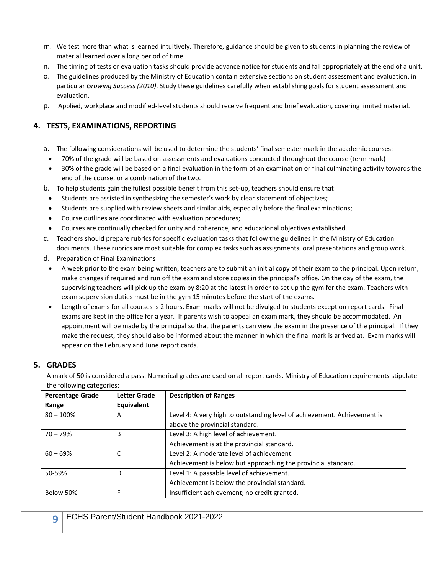- m. We test more than what is learned intuitively. Therefore, guidance should be given to students in planning the review of material learned over a long period of time.
- n. The timing of tests or evaluation tasks should provide advance notice for students and fall appropriately at the end of a unit.
- o. The guidelines produced by the Ministry of Education contain extensive sections on student assessment and evaluation, in particular *Growing Success (2010)*. Study these guidelines carefully when establishing goals for student assessment and evaluation.
- p. Applied, workplace and modified-level students should receive frequent and brief evaluation, covering limited material.

#### **4. TESTS, EXAMINATIONS, REPORTING**

- a. The following considerations will be used to determine the students' final semester mark in the academic courses:
- 70% of the grade will be based on assessments and evaluations conducted throughout the course (term mark)
- 30% of the grade will be based on a final evaluation in the form of an examination or final culminating activity towards the end of the course, or a combination of the two.
- b. To help students gain the fullest possible benefit from this set-up, teachers should ensure that:
	- Students are assisted in synthesizing the semester's work by clear statement of objectives;
	- Students are supplied with review sheets and similar aids, especially before the final examinations;
	- Course outlines are coordinated with evaluation procedures;
- Courses are continually checked for unity and coherence, and educational objectives established.
- c. Teachers should prepare rubrics for specific evaluation tasks that follow the guidelines in the Ministry of Education documents. These rubrics are most suitable for complex tasks such as assignments, oral presentations and group work.
- d. Preparation of Final Examinations
	- A week prior to the exam being written, teachers are to submit an initial copy of their exam to the principal. Upon return, make changes if required and run off the exam and store copies in the principal's office. On the day of the exam, the supervising teachers will pick up the exam by 8:20 at the latest in order to set up the gym for the exam. Teachers with exam supervision duties must be in the gym 15 minutes before the start of the exams.
	- Length of exams for all courses is 2 hours. Exam marks will not be divulged to students except on report cards. Final exams are kept in the office for a year. If parents wish to appeal an exam mark, they should be accommodated. An appointment will be made by the principal so that the parents can view the exam in the presence of the principal. If they make the request, they should also be informed about the manner in which the final mark is arrived at. Exam marks will appear on the February and June report cards.

#### **5. GRADES**

A mark of 50 is considered a pass. Numerical grades are used on all report cards. Ministry of Education requirements stipulate the following categories:

| <b>Percentage Grade</b> | <b>Letter Grade</b> | <b>Description of Ranges</b>                                             |
|-------------------------|---------------------|--------------------------------------------------------------------------|
| Range                   | <b>Equivalent</b>   |                                                                          |
| $80 - 100%$             | A                   | Level 4: A very high to outstanding level of achievement. Achievement is |
|                         |                     | above the provincial standard.                                           |
| $70 - 79%$              | B                   | Level 3: A high level of achievement.                                    |
|                         |                     | Achievement is at the provincial standard.                               |
| $60 - 69%$              | C                   | Level 2: A moderate level of achievement.                                |
|                         |                     | Achievement is below but approaching the provincial standard.            |
| 50-59%                  | D                   | Level 1: A passable level of achievement.                                |
|                         |                     | Achievement is below the provincial standard.                            |
| Below 50%               | F                   | Insufficient achievement; no credit granted.                             |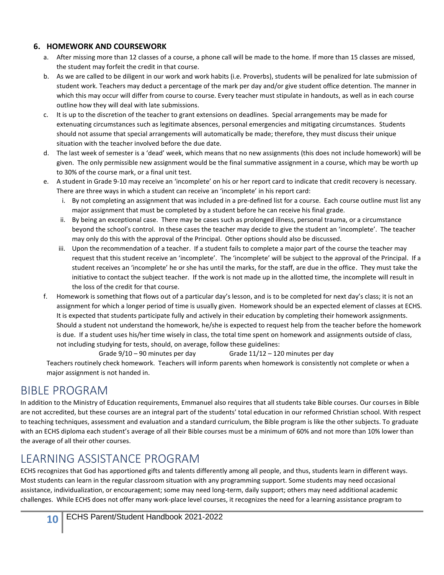#### **6. HOMEWORK AND COURSEWORK**

- a. After missing more than 12 classes of a course, a phone call will be made to the home. If more than 15 classes are missed, the student may forfeit the credit in that course.
- b. As we are called to be diligent in our work and work habits (i.e. Proverbs), students will be penalized for late submission of student work. Teachers may deduct a percentage of the mark per day and/or give student office detention. The manner in which this may occur will differ from course to course. Every teacher must stipulate in handouts, as well as in each course outline how they will deal with late submissions.
- c. It is up to the discretion of the teacher to grant extensions on deadlines. Special arrangements may be made for extenuating circumstances such as legitimate absences, personal emergencies and mitigating circumstances. Students should not assume that special arrangements will automatically be made; therefore, they must discuss their unique situation with the teacher involved before the due date.
- d. The last week of semester is a 'dead' week, which means that no new assignments (this does not include homework) will be given. The only permissible new assignment would be the final summative assignment in a course, which may be worth up to 30% of the course mark, or a final unit test.
- e. A student in Grade 9-10 may receive an 'incomplete' on his or her report card to indicate that credit recovery is necessary. There are three ways in which a student can receive an 'incomplete' in his report card:
	- i. By not completing an assignment that was included in a pre-defined list for a course. Each course outline must list any major assignment that must be completed by a student before he can receive his final grade.
	- ii. By being an exceptional case. There may be cases such as prolonged illness, personal trauma, or a circumstance beyond the school's control. In these cases the teacher may decide to give the student an 'incomplete'. The teacher may only do this with the approval of the Principal. Other options should also be discussed.
	- iii. Upon the recommendation of a teacher. If a student fails to complete a major part of the course the teacher may request that this student receive an 'incomplete'. The 'incomplete' will be subject to the approval of the Principal. If a student receives an 'incomplete' he or she has until the marks, for the staff, are due in the office. They must take the initiative to contact the subject teacher. If the work is not made up in the allotted time, the incomplete will result in the loss of the credit for that course.
- f. Homework is something that flows out of a particular day's lesson, and is to be completed for next day's class; it is not an assignment for which a longer period of time is usually given. Homework should be an expected element of classes at ECHS. It is expected that students participate fully and actively in their education by completing their homework assignments. Should a student not understand the homework, he/she is expected to request help from the teacher before the homework is due. If a student uses his/her time wisely in class, the total time spent on homework and assignments outside of class, not including studying for tests, should, on average, follow these guidelines:

Grade 9/10 – 90 minutes per day Grade 11/12 – 120 minutes per day

Teachers routinely check homework. Teachers will inform parents when homework is consistently not complete or when a major assignment is not handed in.

## <span id="page-10-0"></span>BIBLE PROGRAM

In addition to the Ministry of Education requirements, Emmanuel also requires that all students take Bible courses. Our courses in Bible are not accredited, but these courses are an integral part of the students' total education in our reformed Christian school. With respect to teaching techniques, assessment and evaluation and a standard curriculum, the Bible program is like the other subjects. To graduate with an ECHS diploma each student's average of all their Bible courses must be a minimum of 60% and not more than 10% lower than the average of all their other courses.

## <span id="page-10-1"></span>LEARNING ASSISTANCE PROGRAM

ECHS recognizes that God has apportioned gifts and talents differently among all people, and thus, students learn in different ways. Most students can learn in the regular classroom situation with any programming support. Some students may need occasional assistance, individualization, or encouragement; some may need long-term, daily support; others may need additional academic challenges. While ECHS does not offer many work-place level courses, it recognizes the need for a learning assistance program to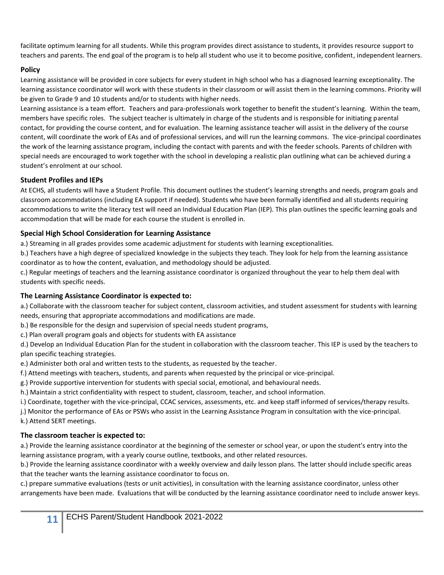facilitate optimum learning for all students. While this program provides direct assistance to students, it provides resource support to teachers and parents. The end goal of the program is to help all student who use it to become positive, confident, independent learners.

#### **Policy**

Learning assistance will be provided in core subjects for every student in high school who has a diagnosed learning exceptionality. The learning assistance coordinator will work with these students in their classroom or will assist them in the learning commons. Priority will be given to Grade 9 and 10 students and/or to students with higher needs.

Learning assistance is a team effort. Teachers and para-professionals work together to benefit the student's learning. Within the team, members have specific roles. The subject teacher is ultimately in charge of the students and is responsible for initiating parental contact, for providing the course content, and for evaluation. The learning assistance teacher will assist in the delivery of the course content, will coordinate the work of EAs and of professional services, and will run the learning commons. The vice-principal coordinates the work of the learning assistance program, including the contact with parents and with the feeder schools. Parents of children with special needs are encouraged to work together with the school in developing a realistic plan outlining what can be achieved during a student's enrolment at our school.

#### **Student Profiles and IEPs**

At ECHS, all students will have a Student Profile. This document outlines the student's learning strengths and needs, program goals and classroom accommodations (including EA support if needed). Students who have been formally identified and all students requiring accommodations to write the literacy test will need an Individual Education Plan (IEP). This plan outlines the specific learning goals and accommodation that will be made for each course the student is enrolled in.

#### **Special High School Consideration for Learning Assistance**

a.) Streaming in all grades provides some academic adjustment for students with learning exceptionalities.

b.) Teachers have a high degree of specialized knowledge in the subjects they teach. They look for help from the learning assistance coordinator as to how the content, evaluation, and methodology should be adjusted.

c.) Regular meetings of teachers and the learning assistance coordinator is organized throughout the year to help them deal with students with specific needs.

#### **The Learning Assistance Coordinator is expected to:**

a.) Collaborate with the classroom teacher for subject content, classroom activities, and student assessment for students with learning needs, ensuring that appropriate accommodations and modifications are made.

b.) Be responsible for the design and supervision of special needs student programs,

c.) Plan overall program goals and objects for students with EA assistance

d.) Develop an Individual Education Plan for the student in collaboration with the classroom teacher. This IEP is used by the teachers to plan specific teaching strategies.

e.) Administer both oral and written tests to the students, as requested by the teacher.

f.) Attend meetings with teachers, students, and parents when requested by the principal or vice-principal.

g.) Provide supportive intervention for students with special social, emotional, and behavioural needs.

h.) Maintain a strict confidentiality with respect to student, classroom, teacher, and school information.

i.) Coordinate, together with the vice-principal, CCAC services, assessments, etc. and keep staff informed of services/therapy results.

j.) Monitor the performance of EAs or PSWs who assist in the Learning Assistance Program in consultation with the vice-principal. k.) Attend SERT meetings.

#### **The classroom teacher is expected to:**

a.) Provide the learning assistance coordinator at the beginning of the semester or school year, or upon the student's entry into the learning assistance program, with a yearly course outline, textbooks, and other related resources.

b.) Provide the learning assistance coordinator with a weekly overview and daily lesson plans. The latter should include specific areas that the teacher wants the learning assistance coordinator to focus on.

c.) prepare summative evaluations (tests or unit activities), in consultation with the learning assistance coordinator, unless other arrangements have been made. Evaluations that will be conducted by the learning assistance coordinator need to include answer keys.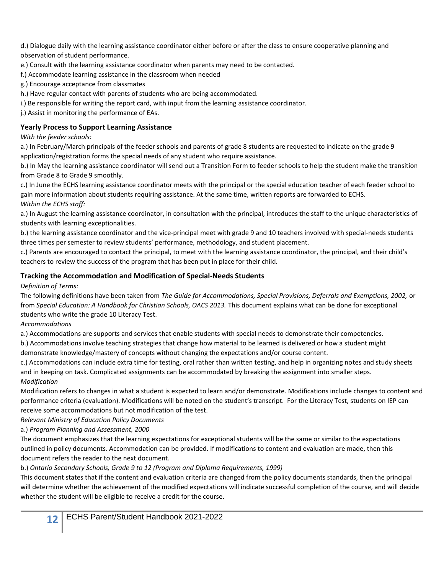d.) Dialogue daily with the learning assistance coordinator either before or after the class to ensure cooperative planning and observation of student performance.

- e.) Consult with the learning assistance coordinator when parents may need to be contacted.
- f.) Accommodate learning assistance in the classroom when needed
- g.) Encourage acceptance from classmates
- h.) Have regular contact with parents of students who are being accommodated.
- i.) Be responsible for writing the report card, with input from the learning assistance coordinator.
- j.) Assist in monitoring the performance of EAs.

#### **Yearly Process to Support Learning Assistance**

#### *With the feeder schools:*

a.) In February/March principals of the feeder schools and parents of grade 8 students are requested to indicate on the grade 9 application/registration forms the special needs of any student who require assistance.

b.) In May the learning assistance coordinator will send out a Transition Form to feeder schools to help the student make the transition from Grade 8 to Grade 9 smoothly.

c.) In June the ECHS learning assistance coordinator meets with the principal or the special education teacher of each feeder school to gain more information about students requiring assistance. At the same time, written reports are forwarded to ECHS. *Within the ECHS staff:*

a.) In August the learning assistance coordinator, in consultation with the principal, introduces the staff to the unique characteristics of students with learning exceptionalities.

b.) the learning assistance coordinator and the vice-principal meet with grade 9 and 10 teachers involved with special-needs students three times per semester to review students' performance, methodology, and student placement.

c.) Parents are encouraged to contact the principal, to meet with the learning assistance coordinator, the principal, and their child's teachers to review the success of the program that has been put in place for their child.

#### **Tracking the Accommodation and Modification of Special-Needs Students**

#### *Definition of Terms:*

The following definitions have been taken from *The Guide for Accommodations, Special Provisions, Deferrals and Exemptions, 2002,* or from Special Education: A Handbook for Christian Schools, OACS 2013. This document explains what can be done for exceptional students who write the grade 10 Literacy Test.

#### *Accommodations*

a.) Accommodations are supports and services that enable students with special needs to demonstrate their competencies.

b.) Accommodations involve teaching strategies that change how material to be learned is delivered or how a student might demonstrate knowledge/mastery of concepts without changing the expectations and/or course content.

c.) Accommodations can include extra time for testing, oral rather than written testing, and help in organizing notes and study sheets and in keeping on task. Complicated assignments can be accommodated by breaking the assignment into smaller steps. *Modification*

Modification refers to changes in what a student is expected to learn and/or demonstrate. Modifications include changes to content and performance criteria (evaluation). Modifications will be noted on the student's transcript. For the Literacy Test, students on IEP can receive some accommodations but not modification of the test.

#### *Relevant Ministry of Education Policy Documents*

a.) *Program Planning and Assessment, 2000*

The document emphasizes that the learning expectations for exceptional students will be the same or similar to the expectations outlined in policy documents. Accommodation can be provided. If modifications to content and evaluation are made, then this document refers the reader to the next document.

#### b.) *Ontario Secondary Schools, Grade 9 to 12 (Program and Diploma Requirements, 1999)*

This document states that if the content and evaluation criteria are changed from the policy documents standards, then the principal will determine whether the achievement of the modified expectations will indicate successful completion of the course, and will decide whether the student will be eligible to receive a credit for the course.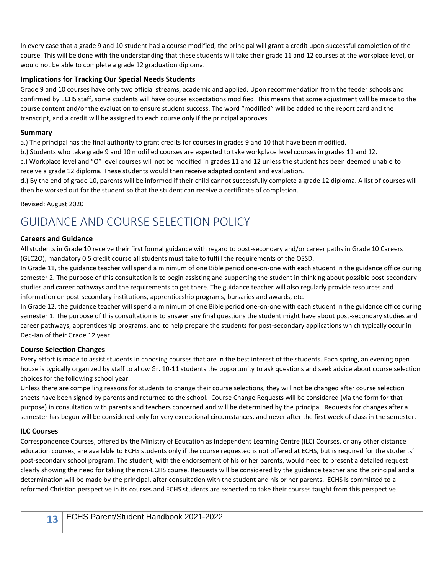In every case that a grade 9 and 10 student had a course modified, the principal will grant a credit upon successful completion of the course. This will be done with the understanding that these students will take their grade 11 and 12 courses at the workplace level, or would not be able to complete a grade 12 graduation diploma.

#### **Implications for Tracking Our Special Needs Students**

Grade 9 and 10 courses have only two official streams, academic and applied. Upon recommendation from the feeder schools and confirmed by ECHS staff, some students will have course expectations modified. This means that some adjustment will be made to the course content and/or the evaluation to ensure student success. The word "modified" will be added to the report card and the transcript, and a credit will be assigned to each course only if the principal approves.

#### **Summary**

a.) The principal has the final authority to grant credits for courses in grades 9 and 10 that have been modified.

b.) Students who take grade 9 and 10 modified courses are expected to take workplace level courses in grades 11 and 12.

c.) Workplace level and "O" level courses will not be modified in grades 11 and 12 unless the student has been deemed unable to receive a grade 12 diploma. These students would then receive adapted content and evaluation.

d.) By the end of grade 10, parents will be informed if their child cannot successfully complete a grade 12 diploma. A list of courses will then be worked out for the student so that the student can receive a certificate of completion.

Revised: August 2020

## <span id="page-13-0"></span>GUIDANCE AND COURSE SELECTION POLICY

#### **Careers and Guidance**

All students in Grade 10 receive their first formal guidance with regard to post-secondary and/or career paths in Grade 10 Careers (GLC2O), mandatory 0.5 credit course all students must take to fulfill the requirements of the OSSD.

In Grade 11, the guidance teacher will spend a minimum of one Bible period one-on-one with each student in the guidance office during semester 2. The purpose of this consultation is to begin assisting and supporting the student in thinking about possible post-secondary studies and career pathways and the requirements to get there. The guidance teacher will also regularly provide resources and information on post-secondary institutions, apprenticeship programs, bursaries and awards, etc.

In Grade 12, the guidance teacher will spend a minimum of one Bible period one-on-one with each student in the guidance office during semester 1. The purpose of this consultation is to answer any final questions the student might have about post-secondary studies and career pathways, apprenticeship programs, and to help prepare the students for post-secondary applications which typically occur in Dec-Jan of their Grade 12 year.

#### **Course Selection Changes**

Every effort is made to assist students in choosing courses that are in the best interest of the students. Each spring, an evening open house is typically organized by staff to allow Gr. 10-11 students the opportunity to ask questions and seek advice about course selection choices for the following school year.

Unless there are compelling reasons for students to change their course selections, they will not be changed after course selection sheets have been signed by parents and returned to the school. Course Change Requests will be considered (via the form for that purpose) in consultation with parents and teachers concerned and will be determined by the principal. Requests for changes after a semester has begun will be considered only for very exceptional circumstances, and never after the first week of class in the semester.

#### **ILC Courses**

Correspondence Courses, offered by the Ministry of Education as Independent Learning Centre (ILC) Courses, or any other distance education courses, are available to ECHS students only if the course requested is not offered at ECHS, but is required for the students' post-secondary school program. The student, with the endorsement of his or her parents, would need to present a detailed request clearly showing the need for taking the non-ECHS course. Requests will be considered by the guidance teacher and the principal and a determination will be made by the principal, after consultation with the student and his or her parents. ECHS is committed to a reformed Christian perspective in its courses and ECHS students are expected to take their courses taught from this perspective.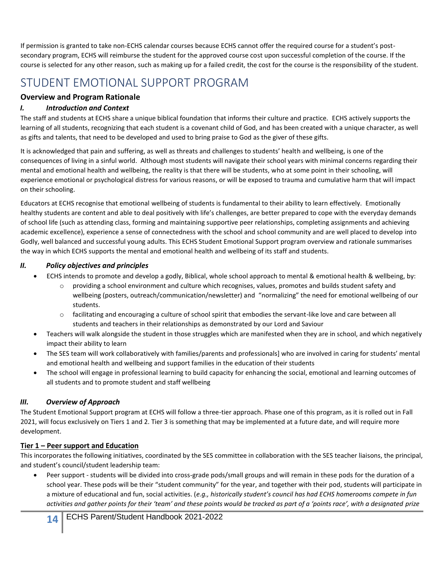If permission is granted to take non-ECHS calendar courses because ECHS cannot offer the required course for a student's postsecondary program, ECHS will reimburse the student for the approved course cost upon successful completion of the course. If the course is selected for any other reason, such as making up for a failed credit, the cost for the course is the responsibility of the student.

## <span id="page-14-0"></span>STUDENT EMOTIONAL SUPPORT PROGRAM

#### **Overview and Program Rationale**

#### *I. Introduction and Context*

The staff and students at ECHS share a unique biblical foundation that informs their culture and practice. ECHS actively supports the learning of all students, recognizing that each student is a covenant child of God, and has been created with a unique character, as well as gifts and talents, that need to be developed and used to bring praise to God as the giver of these gifts.

It is acknowledged that pain and suffering, as well as threats and challenges to students' health and wellbeing, is one of the consequences of living in a sinful world. Although most students will navigate their school years with minimal concerns regarding their mental and emotional health and wellbeing, the reality is that there will be students, who at some point in their schooling, will experience emotional or psychological distress for various reasons, or will be exposed to trauma and cumulative harm that will impact on their schooling.

Educators at ECHS recognise that emotional wellbeing of students is fundamental to their ability to learn effectively. Emotionally healthy students are content and able to deal positively with life's challenges, are better prepared to cope with the everyday demands of school life (such as attending class, forming and maintaining supportive peer relationships, completing assignments and achieving academic excellence), experience a sense of connectedness with the school and school community and are well placed to develop into Godly, well balanced and successful young adults. This ECHS Student Emotional Support program overview and rationale summarises the way in which ECHS supports the mental and emotional health and wellbeing of its staff and students.

#### *II. Policy objectives and principles*

- ECHS intends to promote and develop a godly, Biblical, whole school approach to mental & emotional health & wellbeing, by:
	- $\circ$  providing a school environment and culture which recognises, values, promotes and builds student safety and wellbeing (posters, outreach/communication/newsletter) and "normalizing" the need for emotional wellbeing of our students.
	- $\circ$  facilitating and encouraging a culture of school spirit that embodies the servant-like love and care between all students and teachers in their relationships as demonstrated by our Lord and Saviour
- Teachers will walk alongside the student in those struggles which are manifested when they are in school, and which negatively impact their ability to learn
- The SES team will work collaboratively with families/parents and professionals] who are involved in caring for students' mental and emotional health and wellbeing and support families in the education of their students
- The school will engage in professional learning to build capacity for enhancing the social, emotional and learning outcomes of all students and to promote student and staff wellbeing

#### *III. Overview of Approach*

The Student Emotional Support program at ECHS will follow a three-tier approach. Phase one of this program, as it is rolled out in Fall 2021, will focus exclusively on Tiers 1 and 2. Tier 3 is something that may be implemented at a future date, and will require more development.

#### **Tier 1 – Peer support and Education**

This incorporates the following initiatives, coordinated by the SES committee in collaboration with the SES teacher liaisons, the principal, and student's council/student leadership team:

• Peer support - students will be divided into cross-grade pods/small groups and will remain in these pods for the duration of a school year. These pods will be their "student community" for the year, and together with their pod, students will participate in a mixture of educational and fun, social activities. (*e.g., historically student's council has had ECHS homerooms compete in fun activities and gather points for their 'team' and these points would be tracked as part of a 'points race', with a designated prize*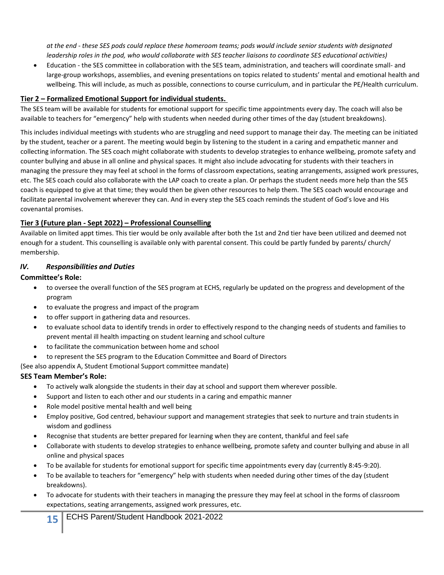*at the end - these SES pods could replace these homeroom teams; pods would include senior students with designated leadership roles in the pod, who would collaborate with SES teacher liaisons to coordinate SES educational activities)*

• Education - the SES committee in collaboration with the SES team, administration, and teachers will coordinate small- and large-group workshops, assemblies, and evening presentations on topics related to students' mental and emotional health and wellbeing. This will include, as much as possible, connections to course curriculum, and in particular the PE/Health curriculum.

#### **Tier 2 – Formalized Emotional Support for individual students.**

The SES team will be available for students for emotional support for specific time appointments every day. The coach will also be available to teachers for "emergency" help with students when needed during other times of the day (student breakdowns).

This includes individual meetings with students who are struggling and need support to manage their day. The meeting can be initiated by the student, teacher or a parent. The meeting would begin by listening to the student in a caring and empathetic manner and collecting information. The SES coach might collaborate with students to develop strategies to enhance wellbeing, promote safety and counter bullying and abuse in all online and physical spaces. It might also include advocating for students with their teachers in managing the pressure they may feel at school in the forms of classroom expectations, seating arrangements, assigned work pressures, etc. The SES coach could also collaborate with the LAP coach to create a plan. Or perhaps the student needs more help than the SES coach is equipped to give at that time; they would then be given other resources to help them. The SES coach would encourage and facilitate parental involvement wherever they can. And in every step the SES coach reminds the student of God's love and His covenantal promises.

#### **Tier 3 (Future plan - Sept 2022) – Professional Counselling**

Available on limited appt times. This tier would be only available after both the 1st and 2nd tier have been utilized and deemed not enough for a student. This counselling is available only with parental consent. This could be partly funded by parents/ church/ membership.

#### *IV. Responsibilities and Duties*

#### **Committee's Role:**

- to oversee the overall function of the SES program at ECHS, regularly be updated on the progress and development of the program
- to evaluate the progress and impact of the program
- to offer support in gathering data and resources.
- to evaluate school data to identify trends in order to effectively respond to the changing needs of students and families to prevent mental ill health impacting on student learning and school culture
- to facilitate the communication between home and school
- to represent the SES program to the Education Committee and Board of Directors

(See also appendix A, Student Emotional Support committee mandate)

#### **SES Team Member's Role:**

- To actively walk alongside the students in their day at school and support them wherever possible.
- Support and listen to each other and our students in a caring and empathic manner
- Role model positive mental health and well being
- Employ positive, God centred, behaviour support and management strategies that seek to nurture and train students in wisdom and godliness
- Recognise that students are better prepared for learning when they are content, thankful and feel safe
- Collaborate with students to develop strategies to enhance wellbeing, promote safety and counter bullying and abuse in all online and physical spaces
- To be available for students for emotional support for specific time appointments every day (currently 8:45-9:20).
- To be available to teachers for "emergency" help with students when needed during other times of the day (student breakdowns).
- To advocate for students with their teachers in managing the pressure they may feel at school in the forms of classroom expectations, seating arrangements, assigned work pressures, etc.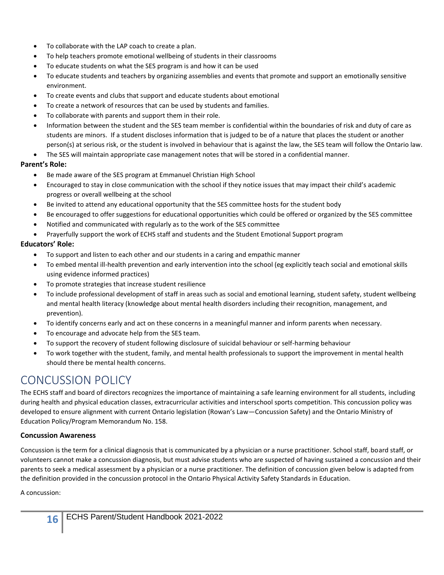- To collaborate with the LAP coach to create a plan.
- To help teachers promote emotional wellbeing of students in their classrooms
- To educate students on what the SES program is and how it can be used
- To educate students and teachers by organizing assemblies and events that promote and support an emotionally sensitive environment.
- To create events and clubs that support and educate students about emotional
- To create a network of resources that can be used by students and families.
- To collaborate with parents and support them in their role.
- Information between the student and the SES team member is confidential within the boundaries of risk and duty of care as students are minors. If a student discloses information that is judged to be of a nature that places the student or another person(s) at serious risk, or the student is involved in behaviour that is against the law, the SES team will follow the Ontario law.
- The SES will maintain appropriate case management notes that will be stored in a confidential manner.

#### **Parent's Role:**

- Be made aware of the SES program at Emmanuel Christian High School
- Encouraged to stay in close communication with the school if they notice issues that may impact their child's academic progress or overall wellbeing at the school
- Be invited to attend any educational opportunity that the SES committee hosts for the student body
- Be encouraged to offer suggestions for educational opportunities which could be offered or organized by the SES committee
- Notified and communicated with regularly as to the work of the SES committee
- Prayerfully support the work of ECHS staff and students and the Student Emotional Support program

#### **Educators' Role:**

- To support and listen to each other and our students in a caring and empathic manner
- To embed mental ill-health prevention and early intervention into the school (eg explicitly teach social and emotional skills using evidence informed practices)
- To promote strategies that increase student resilience
- To include professional development of staff in areas such as social and emotional learning, student safety, student wellbeing and mental health literacy (knowledge about mental health disorders including their recognition, management, and prevention).
- To identify concerns early and act on these concerns in a meaningful manner and inform parents when necessary.
- To encourage and advocate help from the SES team.
- To support the recovery of student following disclosure of suicidal behaviour or self-harming behaviour
- To work together with the student, family, and mental health professionals to support the improvement in mental health should there be mental health concerns.

## <span id="page-16-0"></span>CONCUSSION POLICY

The ECHS staff and board of directors recognizes the importance of maintaining a safe learning environment for all students, including during health and physical education classes, extracurricular activities and interschool sports competition. This concussion policy was developed to ensure alignment with current Ontario legislation (Rowan's Law—Concussion Safety) and the Ontario Ministry of Education Policy/Program Memorandum No. 158.

#### **Concussion Awareness**

Concussion is the term for a clinical diagnosis that is communicated by a physician or a nurse practitioner. School staff, board staff, or volunteers cannot make a concussion diagnosis, but must advise students who are suspected of having sustained a concussion and their parents to seek a medical assessment by a physician or a nurse practitioner. The definition of concussion given below is adapted from the definition provided in the concussion protocol in the Ontario Physical Activity Safety Standards in Education.

A concussion: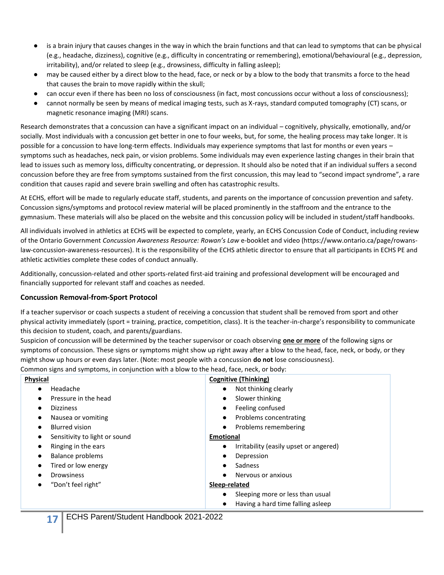- is a brain injury that causes changes in the way in which the brain functions and that can lead to symptoms that can be physical (e.g., headache, dizziness), cognitive (e.g., difficulty in concentrating or remembering), emotional/behavioural (e.g., depression, irritability), and/or related to sleep (e.g., drowsiness, difficulty in falling asleep);
- may be caused either by a direct blow to the head, face, or neck or by a blow to the body that transmits a force to the head that causes the brain to move rapidly within the skull;
- can occur even if there has been no loss of consciousness (in fact, most concussions occur without a loss of consciousness);
- cannot normally be seen by means of medical imaging tests, such as X-rays, standard computed tomography (CT) scans, or magnetic resonance imaging (MRI) scans.

Research demonstrates that a concussion can have a significant impact on an individual – cognitively, physically, emotionally, and/or socially. Most individuals with a concussion get better in one to four weeks, but, for some, the healing process may take longer. It is possible for a concussion to have long-term effects. Individuals may experience symptoms that last for months or even years – symptoms such as headaches, neck pain, or vision problems. Some individuals may even experience lasting changes in their brain that lead to issues such as memory loss, difficulty concentrating, or depression. It should also be noted that if an individual suffers a second concussion before they are free from symptoms sustained from the first concussion, this may lead to "second impact syndrome", a rare condition that causes rapid and severe brain swelling and often has catastrophic results.

At ECHS, effort will be made to regularly educate staff, students, and parents on the importance of concussion prevention and safety. Concussion signs/symptoms and protocol review material will be placed prominently in the staffroom and the entrance to the gymnasium. These materials will also be placed on the website and this concussion policy will be included in student/staff handbooks.

All individuals involved in athletics at ECHS will be expected to complete, yearly, an ECHS Concussion Code of Conduct, including review of the Ontario Government *Concussion Awareness Resource: Rowan's Law* e-booklet and video (https://www.ontario.ca/page/rowanslaw-concussion-awareness-resources). It is the responsibility of the ECHS athletic director to ensure that all participants in ECHS PE and athletic activities complete these codes of conduct annually.

Additionally, concussion-related and other sports-related first-aid training and professional development will be encouraged and financially supported for relevant staff and coaches as needed.

#### **Concussion Removal-from-Sport Protocol**

If a teacher supervisor or coach suspects a student of receiving a concussion that student shall be removed from sport and other physical activity immediately (sport = training, practice, competition, class). It is the teacher-in-charge's responsibility to communicate this decision to student, coach, and parents/guardians.

Suspicion of concussion will be determined by the teacher supervisor or coach observing **one or more** of the following signs or symptoms of concussion. These signs or symptoms might show up right away after a blow to the head, face, neck, or body, or they might show up hours or even days later. (Note: most people with a concussion **do not** lose consciousness).

Common signs and symptoms, in conjunction with a blow to the head, face, neck, or body:

| <b>Physical</b>                            | <b>Cognitive (Thinking)</b>                   |  |
|--------------------------------------------|-----------------------------------------------|--|
| Headache                                   | Not thinking clearly                          |  |
| $\bullet$                                  | $\bullet$                                     |  |
| Pressure in the head                       | Slower thinking                               |  |
| $\bullet$                                  | $\bullet$                                     |  |
| <b>Dizziness</b>                           | Feeling confused                              |  |
| $\bullet$                                  | $\bullet$                                     |  |
| Nausea or vomiting                         | Problems concentrating                        |  |
| $\bullet$                                  | $\bullet$                                     |  |
| <b>Blurred vision</b>                      | Problems remembering                          |  |
| $\bullet$                                  | $\bullet$                                     |  |
| Sensitivity to light or sound<br>$\bullet$ | <b>Emotional</b>                              |  |
| Ringing in the ears                        | Irritability (easily upset or angered)        |  |
| ٠                                          | $\bullet$                                     |  |
| Balance problems                           | Depression                                    |  |
| $\bullet$                                  | $\bullet$                                     |  |
| Tired or low energy                        | Sadness                                       |  |
| $\bullet$                                  | $\bullet$                                     |  |
| <b>Drowsiness</b>                          | Nervous or anxious                            |  |
|                                            | $\bullet$                                     |  |
| "Don't feel right"<br>$\bullet$            | Sleep-related                                 |  |
|                                            | Sleeping more or less than usual<br>$\bullet$ |  |
|                                            | Having a hard time falling asleep             |  |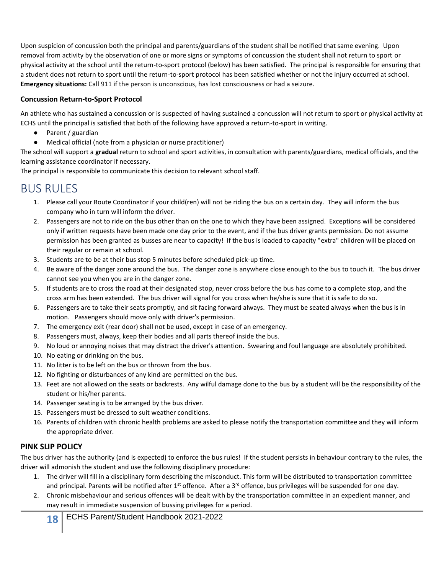Upon suspicion of concussion both the principal and parents/guardians of the student shall be notified that same evening. Upon removal from activity by the observation of one or more signs or symptoms of concussion the student shall not return to sport or physical activity at the school until the return-to-sport protocol (below) has been satisfied. The principal is responsible for ensuring that a student does not return to sport until the return-to-sport protocol has been satisfied whether or not the injury occurred at school. **Emergency situations:** Call 911 if the person is unconscious, has lost consciousness or had a seizure.

#### **Concussion Return-to-Sport Protocol**

An athlete who has sustained a concussion or is suspected of having sustained a concussion will not return to sport or physical activity at ECHS until the principal is satisfied that both of the following have approved a return-to-sport in writing.

- Parent / guardian
- Medical official (note from a physician or nurse practitioner)

The school will support a **gradual** return to school and sport activities, in consultation with parents/guardians, medical officials, and the learning assistance coordinator if necessary.

The principal is responsible to communicate this decision to relevant school staff.

## <span id="page-18-0"></span>BUS RULES

- 1. Please call your Route Coordinator if your child(ren) will not be riding the bus on a certain day. They will inform the bus company who in turn will inform the driver.
- 2. Passengers are not to ride on the bus other than on the one to which they have been assigned. Exceptions will be considered only if written requests have been made one day prior to the event, and if the bus driver grants permission. Do not assume permission has been granted as busses are near to capacity! If the bus is loaded to capacity "extra" children will be placed on their regular or remain at school.
- 3. Students are to be at their bus stop 5 minutes before scheduled pick-up time.
- 4. Be aware of the danger zone around the bus. The danger zone is anywhere close enough to the bus to touch it. The bus driver cannot see you when you are in the danger zone.
- 5. If students are to cross the road at their designated stop, never cross before the bus has come to a complete stop, and the cross arm has been extended. The bus driver will signal for you cross when he/she is sure that it is safe to do so.
- 6. Passengers are to take their seats promptly, and sit facing forward always. They must be seated always when the bus is in motion. Passengers should move only with driver's permission.
- 7. The emergency exit (rear door) shall not be used, except in case of an emergency.
- 8. Passengers must, always, keep their bodies and all parts thereof inside the bus.
- 9. No loud or annoying noises that may distract the driver's attention. Swearing and foul language are absolutely prohibited.
- 10. No eating or drinking on the bus.
- 11. No litter is to be left on the bus or thrown from the bus.
- 12. No fighting or disturbances of any kind are permitted on the bus.
- 13. Feet are not allowed on the seats or backrests. Any wilful damage done to the bus by a student will be the responsibility of the student or his/her parents.
- 14. Passenger seating is to be arranged by the bus driver.
- 15. Passengers must be dressed to suit weather conditions.
- 16. Parents of children with chronic health problems are asked to please notify the transportation committee and they will inform the appropriate driver.

#### **PINK SLIP POLICY**

The bus driver has the authority (and is expected) to enforce the bus rules! If the student persists in behaviour contrary to the rules, the driver will admonish the student and use the following disciplinary procedure:

- 1. The driver will fill in a disciplinary form describing the misconduct. This form will be distributed to transportation committee and principal. Parents will be notified after 1<sup>st</sup> offence. After a 3<sup>rd</sup> offence, bus privileges will be suspended for one day.
- 2. Chronic misbehaviour and serious offences will be dealt with by the transportation committee in an expedient manner, and may result in immediate suspension of bussing privileges for a period.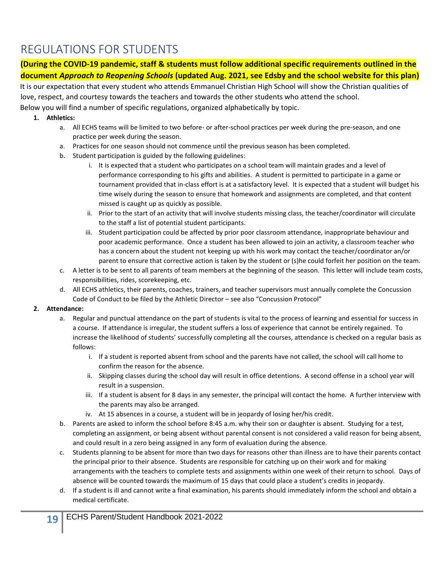## <span id="page-19-0"></span>REGULATIONS FOR STUDENTS

**(During the COVID-19 pandemic, staff & students must follow additional specific requirements outlined in the document** *Approach to Reopening Schools* **(updated Aug. 2021, see Edsby and the school website for this plan)**

It is our expectation that every student who attends Emmanuel Christian High School will show the Christian qualities of love, respect, and courtesy towards the teachers and towards the other students who attend the school. Below you will find a number of specific regulations, organized alphabetically by topic.

#### **1. Athletics:**

- a. All ECHS teams will be limited to two before- or after-school practices per week during the pre-season, and one practice per week during the season.
- a. Practices for one season should not commence until the previous season has been completed.
- b. Student participation is guided by the following guidelines:
	- i. It is expected that a student who participates on a school team will maintain grades and a level of performance corresponding to his gifts and abilities. A student is permitted to participate in a game or tournament provided that in-class effort is at a satisfactory level. It is expected that a student will budget his time wisely during the season to ensure that homework and assignments are completed, and that content missed is caught up as quickly as possible.
	- ii. Prior to the start of an activity that will involve students missing class, the teacher/coordinator will circulate to the staff a list of potential student participants.
	- iii. Student participation could be affected by prior poor classroom attendance, inappropriate behaviour and poor academic performance. Once a student has been allowed to join an activity, a classroom teacher who has a concern about the student not keeping up with his work may contact the teacher/coordinator an/or parent to ensure that corrective action is taken by the student or (s)he could forfeit her position on the team.
- c. A letter is to be sent to all parents of team members at the beginning of the season. This letter will include team costs, responsibilities, rides, scorekeeping, etc.
- d. All ECHS athletics, their parents, coaches, trainers, and teacher supervisors must annually complete the Concussion Code of Conduct to be filed by the Athletic Director – see also "Concussion Protocol"

#### **2. Attendance:**

- a. Regular and punctual attendance on the part of students is vital to the process of learning and essential for success in a course. If attendance is irregular, the student suffers a loss of experience that cannot be entirely regained. To increase the likelihood of students' successfully completing all the courses, attendance is checked on a regular basis as follows:
	- i. If a student is reported absent from school and the parents have not called, the school will call home to confirm the reason for the absence.
	- ii. Skipping classes during the school day will result in office detentions. A second offense in a school year will result in a suspension.
	- iii. If a student is absent for 8 days in any semester, the principal will contact the home. A further interview with the parents may also be arranged.
	- iv. At 15 absences in a course, a student will be in jeopardy of losing her/his credit.
- b. Parents are asked to inform the school before 8:45 a.m. why their son or daughter is absent. Studying for a test, completing an assignment, or being absent without parental consent is not considered a valid reason for being absent, and could result in a zero being assigned in any form of evaluation during the absence.
- c. Students planning to be absent for more than two days for reasons other than illness are to have their parents contact the principal prior to their absence. Students are responsible for catching up on their work and for making arrangements with the teachers to complete tests and assignments within one week of their return to school. Days of absence will be counted towards the maximum of 15 days that could place a student's credits in jeopardy.
- d. If a student is ill and cannot write a final examination, his parents should immediately inform the school and obtain a medical certificate.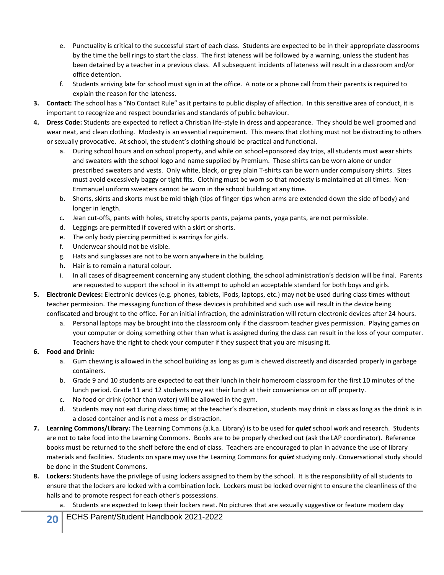- e. Punctuality is critical to the successful start of each class. Students are expected to be in their appropriate classrooms by the time the bell rings to start the class. The first lateness will be followed by a warning, unless the student has been detained by a teacher in a previous class. All subsequent incidents of lateness will result in a classroom and/or office detention.
- f. Students arriving late for school must sign in at the office. A note or a phone call from their parents is required to explain the reason for the lateness.
- **3. Contact:** The school has a "No Contact Rule" as it pertains to public display of affection. In this sensitive area of conduct, it is important to recognize and respect boundaries and standards of public behaviour.
- **4. Dress Code:** Students are expected to reflect a Christian life-style in dress and appearance. They should be well groomed and wear neat, and clean clothing. Modesty is an essential requirement. This means that clothing must not be distracting to others or sexually provocative. At school, the student's clothing should be practical and functional.
	- a. During school hours and on school property, and while on school-sponsored day trips, all students must wear shirts and sweaters with the school logo and name supplied by Premium. These shirts can be worn alone or under prescribed sweaters and vests. Only white, black, or grey plain T-shirts can be worn under compulsory shirts. Sizes must avoid excessively baggy or tight fits. Clothing must be worn so that modesty is maintained at all times. Non-Emmanuel uniform sweaters cannot be worn in the school building at any time.
	- b. Shorts, skirts and skorts must be mid-thigh (tips of finger-tips when arms are extended down the side of body) and longer in length.
	- c. Jean cut-offs, pants with holes, stretchy sports pants, pajama pants, yoga pants, are not permissible.
	- d. Leggings are permitted if covered with a skirt or shorts.
	- e. The only body piercing permitted is earrings for girls.
	- f. Underwear should not be visible.
	- g. Hats and sunglasses are not to be worn anywhere in the building.
	- h. Hair is to remain a natural colour.
	- i. In all cases of disagreement concerning any student clothing, the school administration's decision will be final. Parents are requested to support the school in its attempt to uphold an acceptable standard for both boys and girls.
- **5. Electronic Devices:** Electronic devices (e.g. phones, tablets, iPods, laptops, etc.) may not be used during class times without teacher permission. The messaging function of these devices is prohibited and such use will result in the device being confiscated and brought to the office. For an initial infraction, the administration will return electronic devices after 24 hours.
	- a. Personal laptops may be brought into the classroom only if the classroom teacher gives permission. Playing games on your computer or doing something other than what is assigned during the class can result in the loss of your computer. Teachers have the right to check your computer if they suspect that you are misusing it.

#### **6. Food and Drink:**

- a. Gum chewing is allowed in the school building as long as gum is chewed discreetly and discarded properly in garbage containers.
- b. Grade 9 and 10 students are expected to eat their lunch in their homeroom classroom for the first 10 minutes of the lunch period. Grade 11 and 12 students may eat their lunch at their convenience on or off property.
- c. No food or drink (other than water) will be allowed in the gym.
- d. Students may not eat during class time; at the teacher's discretion, students may drink in class as long as the drink is in a closed container and is not a mess or distraction.
- **7. Learning Commons/Library:** The Learning Commons (a.k.a. Library) is to be used for *quiet* school work and research. Students are not to take food into the Learning Commons. Books are to be properly checked out (ask the LAP coordinator). Reference books must be returned to the shelf before the end of class. Teachers are encouraged to plan in advance the use of library materials and facilities. Students on spare may use the Learning Commons for *quiet* studying only. Conversational study should be done in the Student Commons.
- **8. Lockers:** Students have the privilege of using lockers assigned to them by the school. It is the responsibility of all students to ensure that the lockers are locked with a combination lock. Lockers must be locked overnight to ensure the cleanliness of the halls and to promote respect for each other's possessions.
	- a. Students are expected to keep their lockers neat. No pictures that are sexually suggestive or feature modern day

**20** ECHS Parent/Student Handbook 2021-2022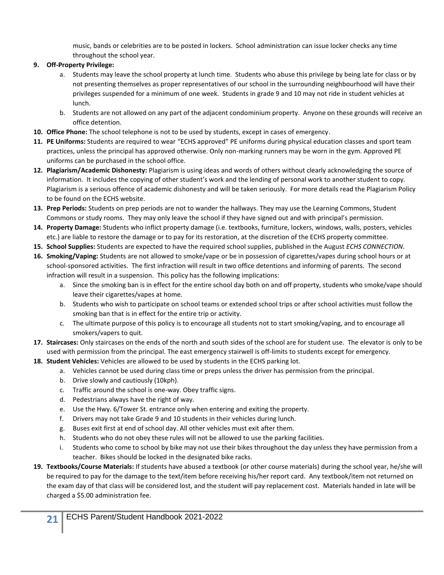music, bands or celebrities are to be posted in lockers. School administration can issue locker checks any time throughout the school year.

#### **9. Off-Property Privilege:**

- a. Students may leave the school property at lunch time. Students who abuse this privilege by being late for class or by not presenting themselves as proper representatives of our school in the surrounding neighbourhood will have their privileges suspended for a minimum of one week. Students in grade 9 and 10 may not ride in student vehicles at lunch.
- b. Students are not allowed on any part of the adjacent condominium property. Anyone on these grounds will receive an office detention.
- **10. Office Phone:** The school telephone is not to be used by students, except in cases of emergency.
- **11. PE Uniforms:** Students are required to wear "ECHS approved" PE uniforms during physical education classes and sport team practices, unless the principal has approved otherwise. Only non-marking runners may be worn in the gym. Approved PE uniforms can be purchased in the school office.
- **12. Plagiarism/Academic Dishonesty:** Plagiarism is using ideas and words of others without clearly acknowledging the source of information. It includes the copying of other student's work and the lending of personal work to another student to copy. Plagiarism is a serious offence of academic dishonesty and will be taken seriously. For more details read the Plagiarism Policy to be found on the ECHS website.
- **13. Prep Periods:** Students on prep periods are not to wander the hallways. They may use the Learning Commons, Student Commons or study rooms. They may only leave the school if they have signed out and with principal's permission.
- **14. Property Damage:** Students who inflict property damage (i.e. textbooks, furniture, lockers, windows, walls, posters, vehicles etc.) are liable to restore the damage or to pay for its restoration, at the discretion of the ECHS property committee.
- **15. School Supplies:** Students are expected to have the required school supplies, published in the August *ECHS CONNECTION*.
- **16. Smoking/Vaping:** Students are not allowed to smoke/vape or be in possession of cigarettes/vapes during school hours or at school-sponsored activities. The first infraction will result in two office detentions and informing of parents. The second infraction will result in a suspension. This policy has the following implications:
	- a. Since the smoking ban is in effect for the entire school day both on and off property, students who smoke/vape should leave their cigarettes/vapes at home.
	- b. Students who wish to participate on school teams or extended school trips or after school activities must follow the smoking ban that is in effect for the entire trip or activity.
	- c. The ultimate purpose of this policy is to encourage all students not to start smoking/vaping, and to encourage all smokers/vapers to quit.
- **17. Staircases:** Only staircases on the ends of the north and south sides of the school are for student use. The elevator is only to be used with permission from the principal. The east emergency stairwell is off-limits to students except for emergency.
- **18. Student Vehicles:** Vehicles are allowed to be used by students in the ECHS parking lot.
	- a. Vehicles cannot be used during class time or preps unless the driver has permission from the principal.
	- b. Drive slowly and cautiously (10kph).
	- c. Traffic around the school is one-way. Obey traffic signs.
	- d. Pedestrians always have the right of way.
	- e. Use the Hwy. 6/Tower St. entrance only when entering and exiting the property.
	- f. Drivers may not take Grade 9 and 10 students in their vehicles during lunch.
	- g. Buses exit first at end of school day. All other vehicles must exit after them.
	- h. Students who do not obey these rules will not be allowed to use the parking facilities.
	- i. Students who come to school by bike may not use their bikes throughout the day unless they have permission from a teacher. Bikes should be locked in the designated bike racks.
- **19. Textbooks/Course Materials:** If students have abused a textbook (or other course materials) during the school year, he/she will be required to pay for the damage to the text/item before receiving his/her report card. Any textbook/item not returned on the exam day of that class will be considered lost, and the student will pay replacement cost. Materials handed in late will be charged a \$5.00 administration fee.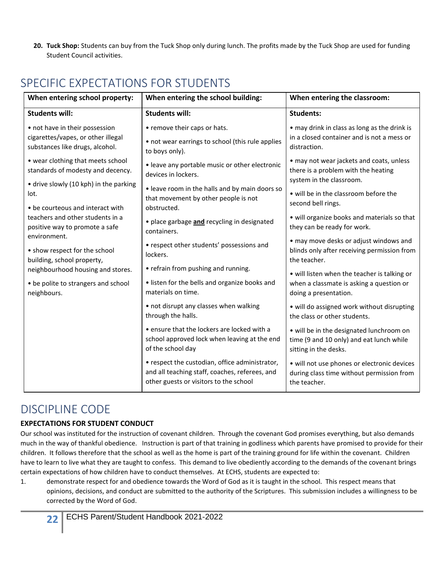**20. Tuck Shop:** Students can buy from the Tuck Shop only during lunch. The profits made by the Tuck Shop are used for funding Student Council activities.

| When entering school property:                                                                          | When entering the school building:                                                                                                         | When entering the classroom:                                                                                  |
|---------------------------------------------------------------------------------------------------------|--------------------------------------------------------------------------------------------------------------------------------------------|---------------------------------------------------------------------------------------------------------------|
| <b>Students will:</b>                                                                                   | <b>Students will:</b>                                                                                                                      | <b>Students:</b>                                                                                              |
| • not have in their possession<br>cigarettes/vapes, or other illegal<br>substances like drugs, alcohol. | • remove their caps or hats.<br>• not wear earrings to school (this rule applies<br>to boys only).                                         | • may drink in class as long as the drink is<br>in a closed container and is not a mess or<br>distraction.    |
| • wear clothing that meets school<br>standards of modesty and decency.                                  | • leave any portable music or other electronic<br>devices in lockers.                                                                      | • may not wear jackets and coats, unless<br>there is a problem with the heating<br>system in the classroom.   |
| • drive slowly (10 kph) in the parking<br>lot.<br>• be courteous and interact with                      | · leave room in the halls and by main doors so<br>that movement by other people is not<br>obstructed.                                      | • will be in the classroom before the<br>second bell rings.                                                   |
| teachers and other students in a<br>positive way to promote a safe<br>environment.                      | · place garbage and recycling in designated<br>containers.                                                                                 | • will organize books and materials so that<br>they can be ready for work.                                    |
| • show respect for the school<br>building, school property,                                             | • respect other students' possessions and<br>lockers.                                                                                      | • may move desks or adjust windows and<br>blinds only after receiving permission from<br>the teacher.         |
| neighbourhood housing and stores.                                                                       | • refrain from pushing and running.                                                                                                        | • will listen when the teacher is talking or                                                                  |
| • be polite to strangers and school<br>neighbours.                                                      | • listen for the bells and organize books and<br>materials on time.                                                                        | when a classmate is asking a question or<br>doing a presentation.                                             |
|                                                                                                         | • not disrupt any classes when walking<br>through the halls.                                                                               | · will do assigned work without disrupting<br>the class or other students.                                    |
|                                                                                                         | • ensure that the lockers are locked with a<br>school approved lock when leaving at the end<br>of the school day                           | • will be in the designated lunchroom on<br>time (9 and 10 only) and eat lunch while<br>sitting in the desks. |
|                                                                                                         | • respect the custodian, office administrator,<br>and all teaching staff, coaches, referees, and<br>other guests or visitors to the school | · will not use phones or electronic devices<br>during class time without permission from<br>the teacher.      |

## <span id="page-22-0"></span>SPECIFIC EXPECTATIONS FOR STUDENTS

### <span id="page-22-1"></span>DISCIPLINE CODE

#### **EXPECTATIONS FOR STUDENT CONDUCT**

Our school was instituted for the instruction of covenant children. Through the covenant God promises everything, but also demands much in the way of thankful obedience. Instruction is part of that training in godliness which parents have promised to provide for their children. It follows therefore that the school as well as the home is part of the training ground for life within the covenant. Children have to learn to live what they are taught to confess. This demand to live obediently according to the demands of the covenant brings certain expectations of how children have to conduct themselves. At ECHS, students are expected to:

1. demonstrate respect for and obedience towards the Word of God as it is taught in the school. This respect means that opinions, decisions, and conduct are submitted to the authority of the Scriptures. This submission includes a willingness to be corrected by the Word of God.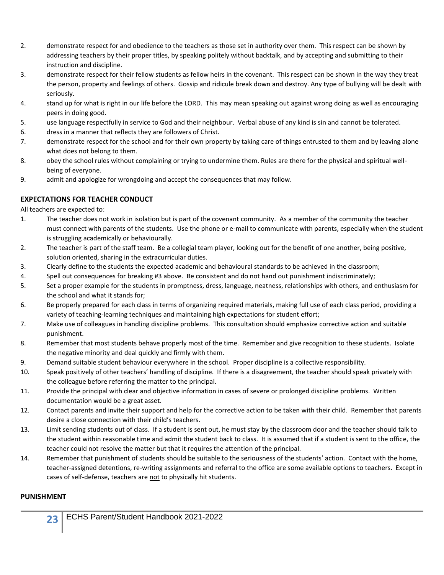- 2. demonstrate respect for and obedience to the teachers as those set in authority over them. This respect can be shown by addressing teachers by their proper titles, by speaking politely without backtalk, and by accepting and submitting to their instruction and discipline.
- 3. demonstrate respect for their fellow students as fellow heirs in the covenant. This respect can be shown in the way they treat the person, property and feelings of others. Gossip and ridicule break down and destroy. Any type of bullying will be dealt with seriously.
- 4. stand up for what is right in our life before the LORD. This may mean speaking out against wrong doing as well as encouraging peers in doing good.
- 5. use language respectfully in service to God and their neighbour. Verbal abuse of any kind is sin and cannot be tolerated.
- 6. dress in a manner that reflects they are followers of Christ.
- 7. demonstrate respect for the school and for their own property by taking care of things entrusted to them and by leaving alone what does not belong to them.
- 8. obey the school rules without complaining or trying to undermine them. Rules are there for the physical and spiritual wellbeing of everyone.
- 9. admit and apologize for wrongdoing and accept the consequences that may follow.

#### **EXPECTATIONS FOR TEACHER CONDUCT**

All teachers are expected to:

- 1. The teacher does not work in isolation but is part of the covenant community. As a member of the community the teacher must connect with parents of the students. Use the phone or e-mail to communicate with parents, especially when the student is struggling academically or behaviourally.
- 2. The teacher is part of the staff team. Be a collegial team player, looking out for the benefit of one another, being positive, solution oriented, sharing in the extracurricular duties.
- 3. Clearly define to the students the expected academic and behavioural standards to be achieved in the classroom;
- 4. Spell out consequences for breaking #3 above. Be consistent and do not hand out punishment indiscriminately;
- 5. Set a proper example for the students in promptness, dress, language, neatness, relationships with others, and enthusiasm for the school and what it stands for;
- 6. Be properly prepared for each class in terms of organizing required materials, making full use of each class period, providing a variety of teaching-learning techniques and maintaining high expectations for student effort;
- 7. Make use of colleagues in handling discipline problems. This consultation should emphasize corrective action and suitable punishment.
- 8. Remember that most students behave properly most of the time. Remember and give recognition to these students. Isolate the negative minority and deal quickly and firmly with them.
- 9. Demand suitable student behaviour everywhere in the school. Proper discipline is a collective responsibility.
- 10. Speak positively of other teachers' handling of discipline. If there is a disagreement, the teacher should speak privately with the colleague before referring the matter to the principal.
- 11. Provide the principal with clear and objective information in cases of severe or prolonged discipline problems. Written documentation would be a great asset.
- 12. Contact parents and invite their support and help for the corrective action to be taken with their child. Remember that parents desire a close connection with their child's teachers.
- 13. Limit sending students out of class. If a student is sent out, he must stay by the classroom door and the teacher should talk to the student within reasonable time and admit the student back to class. It is assumed that if a student is sent to the office, the teacher could not resolve the matter but that it requires the attention of the principal.
- 14. Remember that punishment of students should be suitable to the seriousness of the students' action. Contact with the home, teacher-assigned detentions, re-writing assignments and referral to the office are some available options to teachers. Except in cases of self-defense, teachers are not to physically hit students.

#### **PUNISHMENT**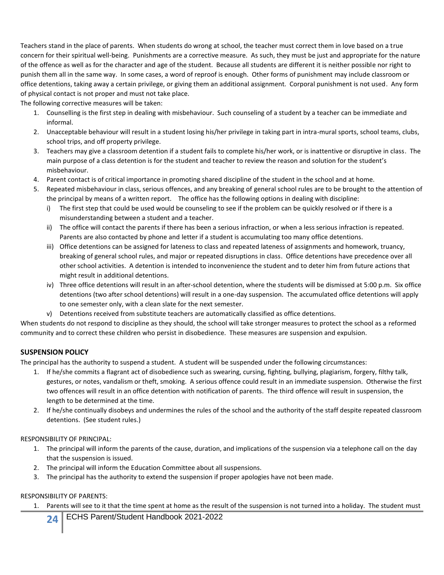Teachers stand in the place of parents. When students do wrong at school, the teacher must correct them in love based on a true concern for their spiritual well-being. Punishments are a corrective measure. As such, they must be just and appropriate for the nature of the offence as well as for the character and age of the student. Because all students are different it is neither possible nor right to punish them all in the same way. In some cases, a word of reproof is enough. Other forms of punishment may include classroom or office detentions, taking away a certain privilege, or giving them an additional assignment. Corporal punishment is not used. Any form of physical contact is not proper and must not take place.

The following corrective measures will be taken:

- 1. Counselling is the first step in dealing with misbehaviour. Such counseling of a student by a teacher can be immediate and informal.
- 2. Unacceptable behaviour will result in a student losing his/her privilege in taking part in intra-mural sports, school teams, clubs, school trips, and off property privilege.
- 3. Teachers may give a classroom detention if a student fails to complete his/her work, or is inattentive or disruptive in class. The main purpose of a class detention is for the student and teacher to review the reason and solution for the student's misbehaviour.
- 4. Parent contact is of critical importance in promoting shared discipline of the student in the school and at home.
- 5. Repeated misbehaviour in class, serious offences, and any breaking of general school rules are to be brought to the attention of the principal by means of a written report. The office has the following options in dealing with discipline:
	- i) The first step that could be used would be counseling to see if the problem can be quickly resolved or if there is a misunderstanding between a student and a teacher.
	- ii) The office will contact the parents if there has been a serious infraction, or when a less serious infraction is repeated. Parents are also contacted by phone and letter if a student is accumulating too many office detentions.
	- iii) Office detentions can be assigned for lateness to class and repeated lateness of assignments and homework, truancy, breaking of general school rules, and major or repeated disruptions in class. Office detentions have precedence over all other school activities. A detention is intended to inconvenience the student and to deter him from future actions that might result in additional detentions.
	- iv) Three office detentions will result in an after-school detention, where the students will be dismissed at 5:00 p.m. Six office detentions (two after school detentions) will result in a one-day suspension. The accumulated office detentions will apply to one semester only, with a clean slate for the next semester.
	- v) Detentions received from substitute teachers are automatically classified as office detentions.

When students do not respond to discipline as they should, the school will take stronger measures to protect the school as a reformed community and to correct these children who persist in disobedience. These measures are suspension and expulsion.

#### **SUSPENSION POLICY**

The principal has the authority to suspend a student. A student will be suspended under the following circumstances:

- 1. If he/she commits a flagrant act of disobedience such as swearing, cursing, fighting, bullying, plagiarism, forgery, filthy talk, gestures, or notes, vandalism or theft, smoking. A serious offence could result in an immediate suspension. Otherwise the first two offences will result in an office detention with notification of parents. The third offence will result in suspension, the length to be determined at the time.
- 2. If he/she continually disobeys and undermines the rules of the school and the authority of the staff despite repeated classroom detentions. (See student rules.)

#### RESPONSIBILITY OF PRINCIPAL:

- 1. The principal will inform the parents of the cause, duration, and implications of the suspension via a telephone call on the day that the suspension is issued.
- 2. The principal will inform the Education Committee about all suspensions.
- 3. The principal has the authority to extend the suspension if proper apologies have not been made.

#### RESPONSIBILITY OF PARENTS:

Parents will see to it that the time spent at home as the result of the suspension is not turned into a holiday. The student must

**24** ECHS Parent/Student Handbook 2021-2022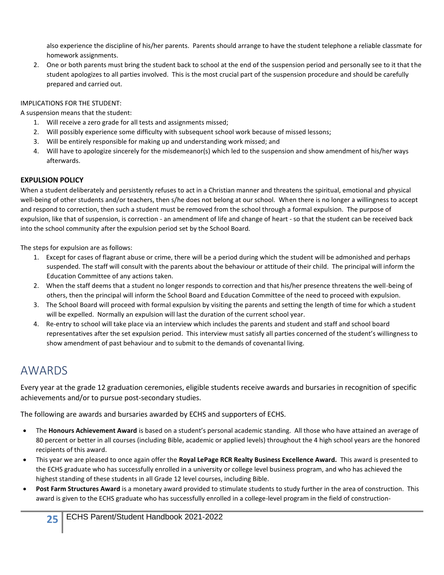also experience the discipline of his/her parents. Parents should arrange to have the student telephone a reliable classmate for homework assignments.

2. One or both parents must bring the student back to school at the end of the suspension period and personally see to it that the student apologizes to all parties involved. This is the most crucial part of the suspension procedure and should be carefully prepared and carried out.

#### IMPLICATIONS FOR THE STUDENT:

A suspension means that the student:

- 1. Will receive a zero grade for all tests and assignments missed;
- 2. Will possibly experience some difficulty with subsequent school work because of missed lessons;
- 3. Will be entirely responsible for making up and understanding work missed; and
- 4. Will have to apologize sincerely for the misdemeanor(s) which led to the suspension and show amendment of his/her ways afterwards.

#### **EXPULSION POLICY**

When a student deliberately and persistently refuses to act in a Christian manner and threatens the spiritual, emotional and physical well-being of other students and/or teachers, then s/he does not belong at our school. When there is no longer a willingness to accept and respond to correction, then such a student must be removed from the school through a formal expulsion. The purpose of expulsion, like that of suspension, is correction - an amendment of life and change of heart - so that the student can be received back into the school community after the expulsion period set by the School Board.

The steps for expulsion are as follows:

- 1. Except for cases of flagrant abuse or crime, there will be a period during which the student will be admonished and perhaps suspended. The staff will consult with the parents about the behaviour or attitude of their child. The principal will inform the Education Committee of any actions taken.
- 2. When the staff deems that a student no longer responds to correction and that his/her presence threatens the well-being of others, then the principal will inform the School Board and Education Committee of the need to proceed with expulsion.
- 3. The School Board will proceed with formal expulsion by visiting the parents and setting the length of time for which a student will be expelled. Normally an expulsion will last the duration of the current school year.
- 4. Re-entry to school will take place via an interview which includes the parents and student and staff and school board representatives after the set expulsion period. This interview must satisfy all parties concerned of the student's willingness to show amendment of past behaviour and to submit to the demands of covenantal living.

## <span id="page-25-0"></span>AWARDS

Every year at the grade 12 graduation ceremonies, eligible students receive awards and bursaries in recognition of specific achievements and/or to pursue post-secondary studies.

The following are awards and bursaries awarded by ECHS and supporters of ECHS.

- The **Honours Achievement Award** is based on a student's personal academic standing. All those who have attained an average of 80 percent or better in all courses (including Bible, academic or applied levels) throughout the 4 high school years are the honored recipients of this award.
- This year we are pleased to once again offer the **Royal LePage RCR Realty Business Excellence Award.** This award is presented to the ECHS graduate who has successfully enrolled in a university or college level business program, and who has achieved the highest standing of these students in all Grade 12 level courses, including Bible.
- **Post Farm Structures Award** is a monetary award provided to stimulate students to study further in the area of construction. This award is given to the ECHS graduate who has successfully enrolled in a college-level program in the field of construction-